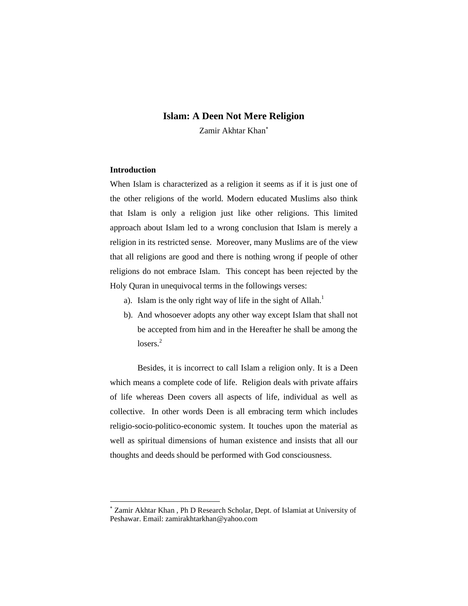# **Islam: A Deen Not Mere Religion**

Zamir Akhtar Khan

# **Introduction**

 $\overline{a}$ 

When Islam is characterized as a religion it seems as if it is just one of the other religions of the world. Modern educated Muslims also think that Islam is only a religion just like other religions. This limited approach about Islam led to a wrong conclusion that Islam is merely a religion in its restricted sense. Moreover, many Muslims are of the view that all religions are good and there is nothing wrong if people of other religions do not embrace Islam. This concept has been rejected by the Holy Quran in unequivocal terms in the followings verses:

- a). Islam is the only right way of life in the sight of Allah.<sup>1</sup>
- b). And whosoever adopts any other way except Islam that shall not be accepted from him and in the Hereafter he shall be among the  $losers.<sup>2</sup>$

Besides, it is incorrect to call Islam a religion only. It is a Deen which means a complete code of life. Religion deals with private affairs of life whereas Deen covers all aspects of life, individual as well as collective. In other words Deen is all embracing term which includes religio-socio-politico-economic system. It touches upon the material as well as spiritual dimensions of human existence and insists that all our thoughts and deeds should be performed with God consciousness.

Zamir Akhtar Khan , Ph D Research Scholar, Dept. of Islamiat at University of Peshawar. Email: zamirakhtarkhan@yahoo.com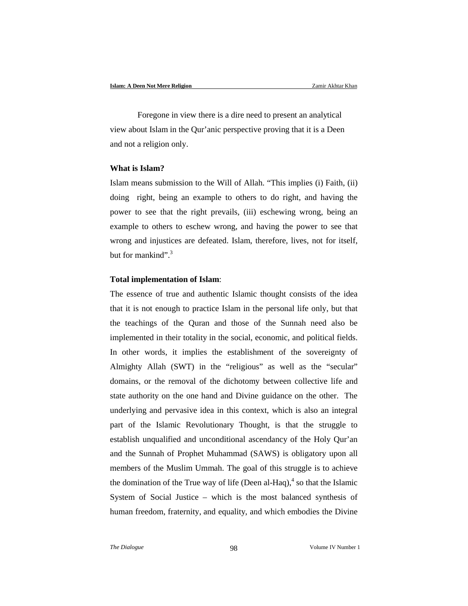Foregone in view there is a dire need to present an analytical view about Islam in the Qur'anic perspective proving that it is a Deen and not a religion only.

## **What is Islam?**

Islam means submission to the Will of Allah. "This implies (i) Faith, (ii) doing right, being an example to others to do right, and having the power to see that the right prevails, (iii) eschewing wrong, being an example to others to eschew wrong, and having the power to see that wrong and injustices are defeated. Islam, therefore, lives, not for itself, but for mankind". $3$ 

## **Total implementation of Islam**:

The essence of true and authentic Islamic thought consists of the idea that it is not enough to practice Islam in the personal life only, but that the teachings of the Quran and those of the Sunnah need also be implemented in their totality in the social, economic, and political fields. In other words, it implies the establishment of the sovereignty of Almighty Allah (SWT) in the "religious" as well as the "secular" domains, or the removal of the dichotomy between collective life and state authority on the one hand and Divine guidance on the other. The underlying and pervasive idea in this context, which is also an integral part of the Islamic Revolutionary Thought, is that the struggle to establish unqualified and unconditional ascendancy of the Holy Qur'an and the Sunnah of Prophet Muhammad (SAWS) is obligatory upon all members of the Muslim Ummah. The goal of this struggle is to achieve the domination of the True way of life (Deen al-Haq), $<sup>4</sup>$  so that the Islamic</sup> System of Social Justice – which is the most balanced synthesis of human freedom, fraternity, and equality, and which embodies the Divine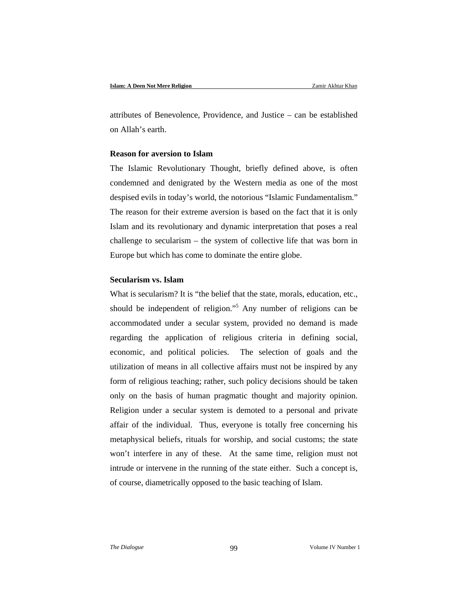attributes of Benevolence, Providence, and Justice – can be established on Allah's earth.

## **Reason for aversion to Islam**

The Islamic Revolutionary Thought, briefly defined above, is often condemned and denigrated by the Western media as one of the most despised evils in today's world, the notorious "Islamic Fundamentalism." The reason for their extreme aversion is based on the fact that it is only Islam and its revolutionary and dynamic interpretation that poses a real challenge to secularism – the system of collective life that was born in Europe but which has come to dominate the entire globe.

# **Secularism vs. Islam**

What is secularism? It is "the belief that the state, morals, education, etc., should be independent of religion."5 Any number of religions can be accommodated under a secular system, provided no demand is made regarding the application of religious criteria in defining social, economic, and political policies. The selection of goals and the utilization of means in all collective affairs must not be inspired by any form of religious teaching; rather, such policy decisions should be taken only on the basis of human pragmatic thought and majority opinion. Religion under a secular system is demoted to a personal and private affair of the individual. Thus, everyone is totally free concerning his metaphysical beliefs, rituals for worship, and social customs; the state won't interfere in any of these. At the same time, religion must not intrude or intervene in the running of the state either. Such a concept is, of course, diametrically opposed to the basic teaching of Islam.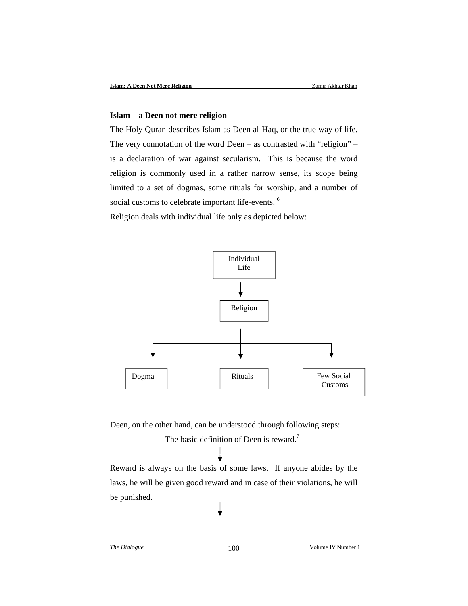#### **Islam – a Deen not mere religion**

The Holy Quran describes Islam as Deen al-Haq, or the true way of life. The very connotation of the word Deen – as contrasted with "religion" – is a declaration of war against secularism. This is because the word religion is commonly used in a rather narrow sense, its scope being limited to a set of dogmas, some rituals for worship, and a number of social customs to celebrate important life-events.<sup>6</sup>

Religion deals with individual life only as depicted below:



Deen, on the other hand, can be understood through following steps:

The basic definition of Deen is reward.<sup>7</sup>

Reward is always on the basis of some laws. If anyone abides by the laws, he will be given good reward and in case of their violations, he will be punished.

*The Dialogue* 100 100 Volume IV Number 1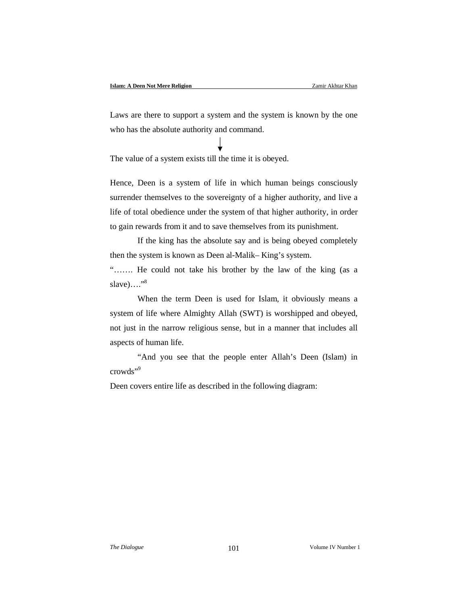Laws are there to support a system and the system is known by the one who has the absolute authority and command.

The value of a system exists till the time it is obeyed.

Hence, Deen is a system of life in which human beings consciously surrender themselves to the sovereignty of a higher authority, and live a life of total obedience under the system of that higher authority, in order to gain rewards from it and to save themselves from its punishment.

If the king has the absolute say and is being obeyed completely then the system is known as Deen al-Malik– King's system.

"……. He could not take his brother by the law of the king (as a slave)…." $8$ 

When the term Deen is used for Islam, it obviously means a system of life where Almighty Allah (SWT) is worshipped and obeyed, not just in the narrow religious sense, but in a manner that includes all aspects of human life.

"And you see that the people enter Allah's Deen (Islam) in crowds"<sup>9</sup>

Deen covers entire life as described in the following diagram: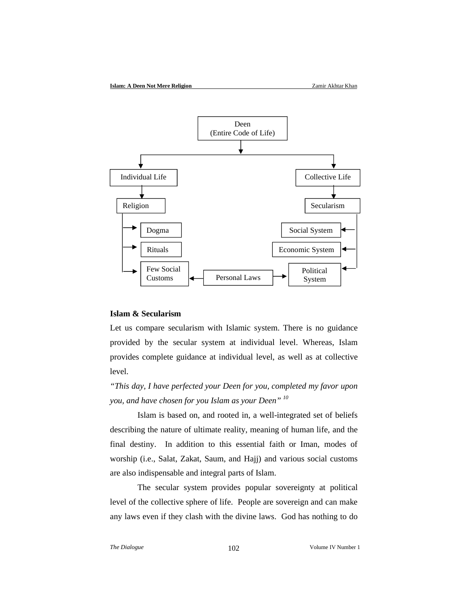

## **Islam & Secularism**

Let us compare secularism with Islamic system. There is no guidance provided by the secular system at individual level. Whereas, Islam provides complete guidance at individual level, as well as at collective level.

*"This day, I have perfected your Deen for you, completed my favor upon you, and have chosen for you Islam as your Deen" 10*

Islam is based on, and rooted in, a well-integrated set of beliefs describing the nature of ultimate reality, meaning of human life, and the final destiny. In addition to this essential faith or Iman, modes of worship (i.e., Salat, Zakat, Saum, and Hajj) and various social customs are also indispensable and integral parts of Islam.

The secular system provides popular sovereignty at political level of the collective sphere of life. People are sovereign and can make any laws even if they clash with the divine laws. God has nothing to do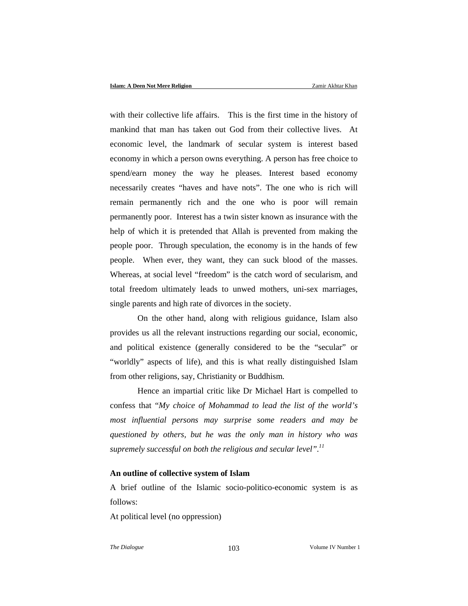with their collective life affairs. This is the first time in the history of mankind that man has taken out God from their collective lives. At economic level, the landmark of secular system is interest based economy in which a person owns everything. A person has free choice to spend/earn money the way he pleases. Interest based economy necessarily creates "haves and have nots". The one who is rich will remain permanently rich and the one who is poor will remain permanently poor. Interest has a twin sister known as insurance with the help of which it is pretended that Allah is prevented from making the people poor. Through speculation, the economy is in the hands of few people. When ever, they want, they can suck blood of the masses. Whereas, at social level "freedom" is the catch word of secularism, and total freedom ultimately leads to unwed mothers, uni-sex marriages, single parents and high rate of divorces in the society.

On the other hand, along with religious guidance, Islam also provides us all the relevant instructions regarding our social, economic, and political existence (generally considered to be the "secular" or "worldly" aspects of life), and this is what really distinguished Islam from other religions, say, Christianity or Buddhism.

Hence an impartial critic like Dr Michael Hart is compelled to confess that "*My choice of Mohammad to lead the list of the world's most influential persons may surprise some readers and may be questioned by others, but he was the only man in history who was supremely successful on both the religious and secular level".11*

## **An outline of collective system of Islam**

A brief outline of the Islamic socio-politico-economic system is as follows:

At political level (no oppression)

*The Dialogue* 103 103 Volume IV Number 1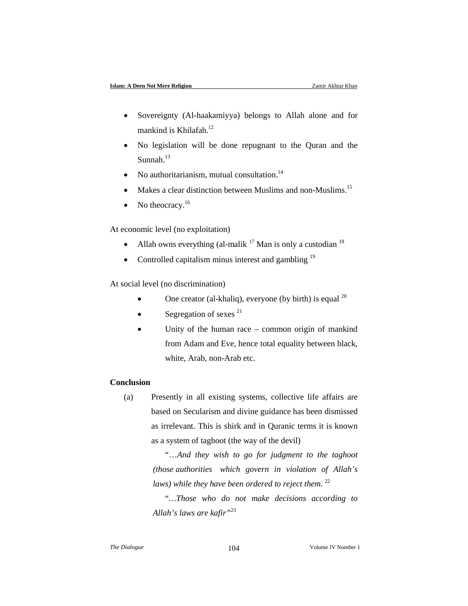- Sovereignty (Al-haakamiyya) belongs to Allah alone and for mankind is Khilafah.<sup>12</sup>
- No legislation will be done repugnant to the Quran and the Sunnah. $13$
- No authoritarianism, mutual consultation. $14$
- Makes a clear distinction between Muslims and non-Muslims.<sup>15</sup>
- No theocracy. $16$

At economic level (no exploitation)

- Allah owns everything (al-malik  $17$  Man is only a custodian  $18$ )
- Controlled capitalism minus interest and gambling  $19$

At social level (no discrimination)

- One creator (al-khaliq), everyone (by birth) is equal  $^{20}$
- $\bullet$  Segregation of sexes <sup>21</sup>
- Unity of the human race common origin of mankind from Adam and Eve, hence total equality between black, white, Arab, non-Arab etc.

# **Conclusion**

(a) Presently in all existing systems, collective life affairs are based on Secularism and divine guidance has been dismissed as irrelevant. This is shirk and in Quranic terms it is known as a system of taghoot (the way of the devil)

> "…*And they wish to go for judgment to the taghoot (those authorities which govern in violation of Allah's laws)* while they have been ordered to reject them.<sup>22</sup>

> "*…Those who do not make decisions according to Allah's laws are kafir"*<sup>23</sup>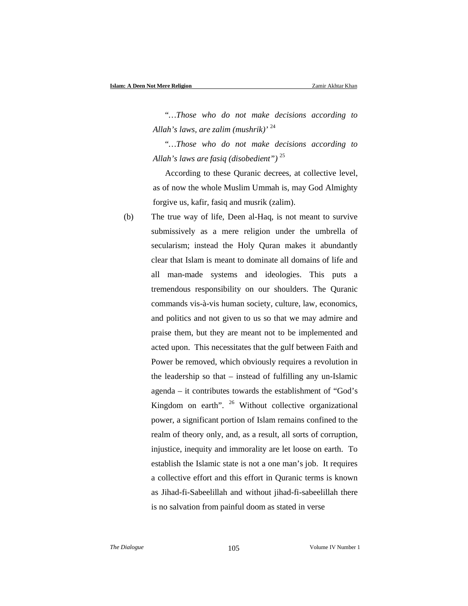"*…Those who do not make decisions according to Allah's laws, are zalim (mushrik)'* <sup>24</sup>

"*…Those who do not make decisions according to Allah's laws are fasiq (disobedient")* <sup>25</sup>

According to these Quranic decrees, at collective level, as of now the whole Muslim Ummah is, may God Almighty forgive us, kafir, fasiq and musrik (zalim).

(b) The true way of life, Deen al-Haq, is not meant to survive submissively as a mere religion under the umbrella of secularism; instead the Holy Quran makes it abundantly clear that Islam is meant to dominate all domains of life and all man-made systems and ideologies. This puts a tremendous responsibility on our shoulders. The Quranic commands vis-à-vis human society, culture, law, economics, and politics and not given to us so that we may admire and praise them, but they are meant not to be implemented and acted upon. This necessitates that the gulf between Faith and Power be removed, which obviously requires a revolution in the leadership so that – instead of fulfilling any un-Islamic agenda – it contributes towards the establishment of "God's Kingdom on earth". <sup>26</sup> Without collective organizational power, a significant portion of Islam remains confined to the realm of theory only, and, as a result, all sorts of corruption, injustice, inequity and immorality are let loose on earth. To establish the Islamic state is not a one man's job. It requires a collective effort and this effort in Quranic terms is known as Jihad-fi-Sabeelillah and without jihad-fi-sabeelillah there is no salvation from painful doom as stated in verse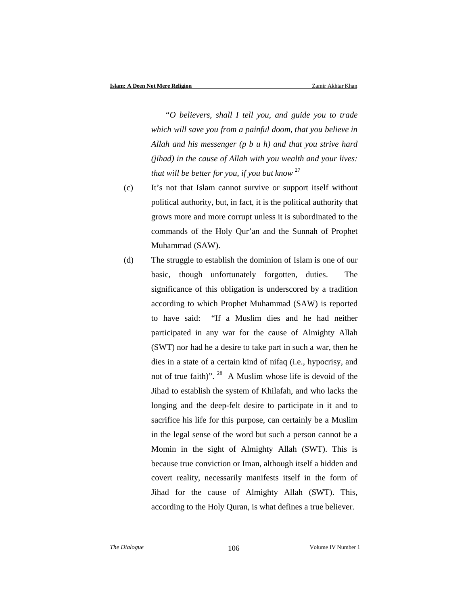*"O believers, shall I tell you, and guide you to trade which will save you from a painful doom, that you believe in Allah and his messenger (p b u h) and that you strive hard (jihad) in the cause of Allah with you wealth and your lives: that will be better for you, if you but know* <sup>27</sup>

- (c) It's not that Islam cannot survive or support itself without political authority, but, in fact, it is the political authority that grows more and more corrupt unless it is subordinated to the commands of the Holy Qur'an and the Sunnah of Prophet Muhammad (SAW).
- (d) The struggle to establish the dominion of Islam is one of our basic, though unfortunately forgotten, duties. The significance of this obligation is underscored by a tradition according to which Prophet Muhammad (SAW) is reported to have said: "If a Muslim dies and he had neither participated in any war for the cause of Almighty Allah (SWT) nor had he a desire to take part in such a war, then he dies in a state of a certain kind of nifaq (i.e., hypocrisy, and not of true faith)". 28 A Muslim whose life is devoid of the Jihad to establish the system of Khilafah, and who lacks the longing and the deep-felt desire to participate in it and to sacrifice his life for this purpose, can certainly be a Muslim in the legal sense of the word but such a person cannot be a Momin in the sight of Almighty Allah (SWT). This is because true conviction or Iman, although itself a hidden and covert reality, necessarily manifests itself in the form of Jihad for the cause of Almighty Allah (SWT). This, according to the Holy Quran, is what defines a true believer.

*The Dialogue* 106 106 Volume IV Number 1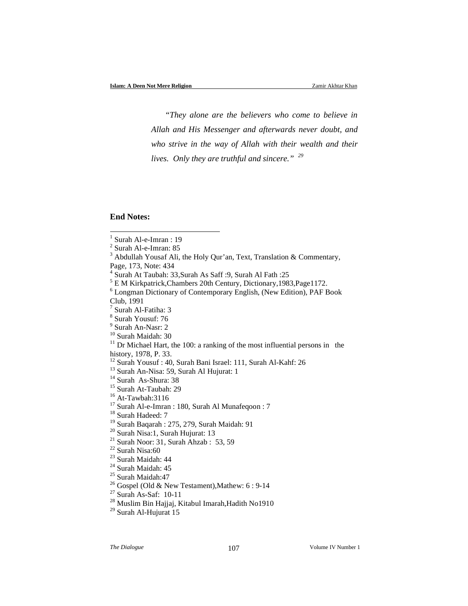*"They alone are the believers who come to believe in Allah and His Messenger and afterwards never doubt, and who strive in the way of Allah with their wealth and their lives. Only they are truthful and sincere." <sup>29</sup>*

# **End Notes:**

l

Page, 173, Note: 434

- 
- 
- 
- 
- 
- 
- 
- 
- 
- 
- 
- 
- 
- <sup>19</sup> Surah Baqarah : 275, 279, Surah Maidah: 91<br>
<sup>20</sup> Surah Nisa:1, Surah Hujurat: 13<br>
<sup>21</sup> Surah Noor: 31, Surah Ahzab : 53, 59<br>
<sup>22</sup> Surah Nisa:60<br>
<sup>23</sup> Surah Maidah: 44<br>
<sup>24</sup> Surah Maidah: 45<br>
<sup>25</sup> Surah Maidah:47<br>
<sup>26</sup>
- <sup>29</sup> Surah Al-Hujurat 15

*The Dialogue* 107 **Volume IV Number 1 V** Volume IV Number 1

 $<sup>1</sup>$  Surah Al-e-Imran : 19</sup>

<sup>2</sup> Surah Al-e-Imran: 85

 $3$  Abdullah Yousaf Ali, the Holy Qur'an, Text, Translation & Commentary,

<sup>4</sup> Surah At Taubah: 33,Surah As Saff :9, Surah Al Fath :25

<sup>5</sup> E M Kirkpatrick,Chambers 20th Century, Dictionary,1983,Page1172.

<sup>6</sup> Longman Dictionary of Contemporary English, (New Edition), PAF Book Club, 1991

 $<sup>7</sup>$  Surah Al-Fatiha: 3</sup>

<sup>8</sup> Surah Yousuf: 76

 $\rm{^9}$  Surah An-Nasr: 2<br> $\rm{^{10}}$  Surah Maidah: 30

 $11$  Dr Michael Hart, the 100: a ranking of the most influential persons in the history, 1978, P. 33.

<sup>&</sup>lt;sup>12</sup> Surah Yousuf : 40, Surah Bani Israel: 111, Surah Al-Kahf: 26<br><sup>13</sup> Surah An-Nisa: 59, Surah Al Hujurat: 1<br><sup>14</sup> Surah As-Shura: 38<br><sup>15</sup> Surah At-Taubah: 29<br><sup>16</sup> At-Tawbah:3116<br><sup>17</sup> Surah Al-e-Imran : 180, Surah Al Muna